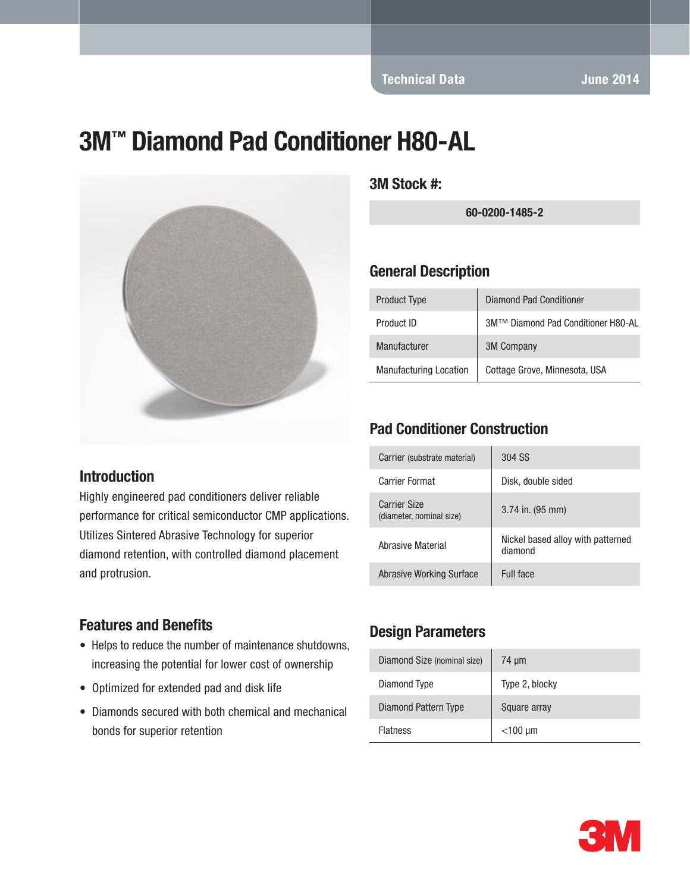Technical Data June 2014

# 3M™ Diamond Pad Conditioner H80-AL



#### 3M Stock #:

60-0200-1485-2

#### General Description

| <b>Product Type</b>           | Diamond Pad Conditioner            |
|-------------------------------|------------------------------------|
| Product ID                    | 3M™ Diamond Pad Conditioner H80-AL |
| Manufacturer                  | <b>3M Company</b>                  |
| <b>Manufacturing Location</b> | Cottage Grove, Minnesota, USA      |

# Pad Conditioner Construction

| Carrier (substrate material)                    | 304 SS                                       |
|-------------------------------------------------|----------------------------------------------|
| Carrier Format                                  | Disk, double sided                           |
| <b>Carrier Size</b><br>(diameter, nominal size) | $3.74$ in. (95 mm)                           |
| Abrasive Material                               | Nickel based alloy with patterned<br>diamond |
| Abrasive Working Surface                        | Full face                                    |

#### Introduction

Highly engineered pad conditioners deliver reliable performance for critical semiconductor CMP applications. Utilizes Sintered Abrasive Technology for superior diamond retention, with controlled diamond placement and protrusion.

#### Features and Benefits

- Helps to reduce the number of maintenance shutdowns, increasing the potential for lower cost of ownership
- Optimized for extended pad and disk life
- Diamonds secured with both chemical and mechanical bonds for superior retention

## Design Parameters

| Diamond Size (nominal size) | $74 \mu m$     |
|-----------------------------|----------------|
| Diamond Type                | Type 2, blocky |
| Diamond Pattern Type        | Square array   |
| <b>Flatness</b>             | $<$ 100 µm     |